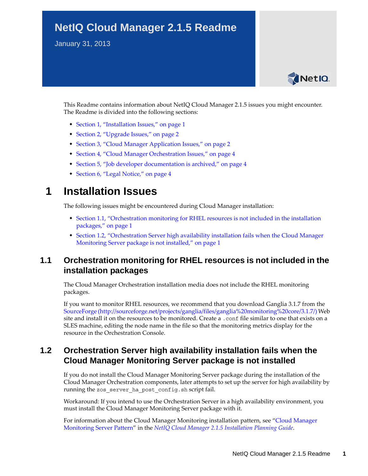# **NetIQ Cloud Manager 2.1.5 Readme**

January 31, 2013



This Readme contains information about NetIQ Cloud Manager 2.1.5 issues you might encounter. The Readme is divided into the following sections:

- [Section 1, "Installation Issues," on page 1](#page-0-2)
- [Section 2, "Upgrade Issues," on page 2](#page-1-0)
- [Section 3, "Cloud Manager Application Issues," on page 2](#page-1-1)
- [Section 4, "Cloud Manager Orchestration Issues," on page 4](#page-3-1)
- [Section 5, "Job developer documentation is archived," on page 4](#page-3-2)
- [Section 6, "Legal Notice," on page 4](#page-3-0)

## <span id="page-0-2"></span>**1 Installation Issues**

The following issues might be encountered during Cloud Manager installation:

- [Section 1.1, "Orchestration monitoring for RHEL resources is not included in the installation](#page-0-1)  [packages," on page 1](#page-0-1)
- [Section 1.2, "Orchestration Server high availability installation fails when the Cloud Manager](#page-0-0)  [Monitoring Server package is not installed," on page 1](#page-0-0)

### <span id="page-0-1"></span>**1.1 Orchestration monitoring for RHEL resources is not included in the installation packages**

The Cloud Manager Orchestration installation media does not include the RHEL monitoring packages.

If you want to monitor RHEL resources, we recommend that you download Ganglia 3.1.7 from the [SourceForge](http://sourceforge.net/projects/ganglia/files/ganglia%20monitoring%20core/3.1.7/) (http://sourceforge.net/projects/ganglia/files/ganglia%20monitoring%20core/3.1.7/) Web site and install it on the resources to be monitored. Create a .conf file similar to one that exists on a SLES machine, editing the node name in the file so that the monitoring metrics display for the resource in the Orchestration Console.

### <span id="page-0-0"></span>**1.2 Orchestration Server high availability installation fails when the Cloud Manager Monitoring Server package is not installed**

If you do not install the Cloud Manager Monitoring Server package during the installation of the Cloud Manager Orchestration components, later attempts to set up the server for high availability by running the zos server ha post config.sh script fail.

Workaround: If you intend to use the Orchestration Server in a high availability environment, you must install the Cloud Manager Monitoring Server package with it.

For information about the Cloud Manager Monitoring installation pattern, see "Cloud Manager Monitoring Server Pattern" in the *NetIQ Cloud Manager 2.1.5 Installation Planning Guide*.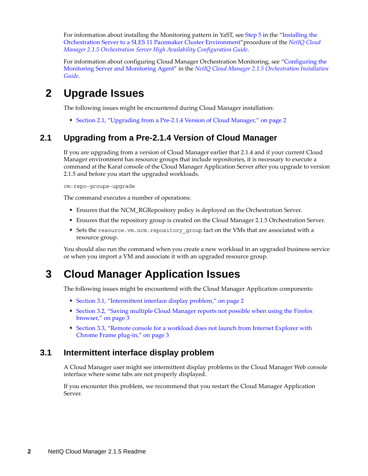For information about installing the Monitoring pattern in YaST, see Step 5 in the "Installing the Orchestration Server to a SLES 11 Pacemaker Cluster Environment"procedure of the *NetIQ Cloud Manager 2.1.5 Orchestration Server High Availability Configuration Guide*.

For information about configuring Cloud Manager Orchestration Monitoring, see "Configuring the Monitoring Server and Monitoring Agent" in the *NetIQ Cloud Manager 2.1.5 Orchestration Installation Guide*.

# <span id="page-1-0"></span>**2 Upgrade Issues**

The following issues might be encountered during Cloud Manager installation:

• [Section 2.1, "Upgrading from a Pre-2.1.4 Version of Cloud Manager," on page 2](#page-1-3)

### <span id="page-1-3"></span>**2.1 Upgrading from a Pre-2.1.4 Version of Cloud Manager**

If you are upgrading from a version of Cloud Manager earlier that 2.1.4 and if your current Cloud Manager environment has resource groups that include repositories, it is necessary to execute a command at the Karaf console of the Cloud Manager Application Server after you upgrade to version 2.1.5 and before you start the upgraded workloads.

cm:repo-groups-upgrade

The command executes a number of operations:

- Ensures that the NCM\_RGRepository policy is deployed on the Orchestration Server.
- Ensures that the repository group is created on the Cloud Manager 2.1.5 Orchestration Server.
- \* Sets the resource.vm.ncm.repository group fact on the VMs that are associated with a resource group.

You should also run the command when you create a new workload in an upgraded business service or when you import a VM and associate it with an upgraded resource group.

# <span id="page-1-1"></span>**3 Cloud Manager Application Issues**

The following issues might be encountered with the Cloud Manager Application components:

- [Section 3.1, "Intermittent interface display problem," on page 2](#page-1-2)
- [Section 3.2, "Saving multiple Cloud Manager reports not possible when using the Firefox](#page-2-1)  [browser," on page 3](#page-2-1)
- [Section 3.3, "Remote console for a workload does not launch from Internet Explorer with](#page-2-0)  [Chrome Frame plug-in," on page 3](#page-2-0)

#### <span id="page-1-2"></span>**3.1 Intermittent interface display problem**

A Cloud Manager user might see intermittent display problems in the Cloud Manager Web console interface where some tabs are not properly displayed.

If you encounter this problem, we recommend that you restart the Cloud Manager Application Server.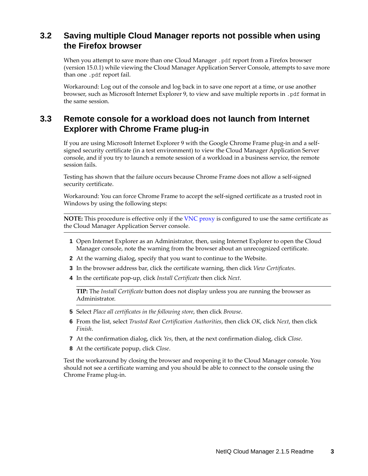### <span id="page-2-1"></span>**3.2 Saving multiple Cloud Manager reports not possible when using the Firefox browser**

When you attempt to save more than one Cloud Manager .pdf report from a Firefox browser (version 15.0.1) while viewing the Cloud Manager Application Server Console, attempts to save more than one .pdf report fail.

Workaround: Log out of the console and log back in to save one report at a time, or use another browser, such as Microsoft Internet Explorer 9, to view and save multiple reports in .pdf format in the same session.

### <span id="page-2-0"></span>**3.3 Remote console for a workload does not launch from Internet Explorer with Chrome Frame plug-in**

If you are using Microsoft Internet Explorer 9 with the Google Chrome Frame plug-in and a selfsigned security certificate (in a test environment) to view the Cloud Manager Application Server console, and if you try to launch a remote session of a workload in a business service, the remote session fails.

Testing has shown that the failure occurs because Chrome Frame does not allow a self-signed security certificate.

Workaround: You can force Chrome Frame to accept the self-signed certificate as a trusted root in Windows by using the following steps:

**NOTE:** This procedure is effective only if the VNC proxy is configured to use the same certificate as the Cloud Manager Application Server console.

- **1** Open Internet Explorer as an Administrator, then, using Internet Explorer to open the Cloud Manager console, note the warning from the browser about an unrecognized certificate.
- **2** At the warning dialog, specify that you want to continue to the Website.
- **3** In the browser address bar, click the certificate warning, then click *View Certificates*.
- **4** In the certificate pop-up, click *Install Certificate* then click *Next*.

**TIP:** The *Install Certificate* button does not display unless you are running the browser as Administrator.

- **5** Select *Place all certificates in the following store*, then click *Browse*.
- **6** From the list, select *Trusted Root Certification Authorities*, then click *OK*, click *Next*, then click *Finish*.
- **7** At the confirmation dialog, click *Yes*, then, at the next confirmation dialog, click *Close*.
- **8** At the certificate popup, click *Close*.

Test the workaround by closing the browser and reopening it to the Cloud Manager console. You should not see a certificate warning and you should be able to connect to the console using the Chrome Frame plug-in.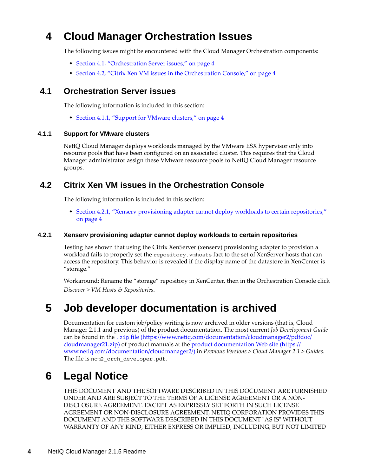# <span id="page-3-1"></span>**4 Cloud Manager Orchestration Issues**

The following issues might be encountered with the Cloud Manager Orchestration components:

- [Section 4.1, "Orchestration Server issues," on page 4](#page-3-4)
- [Section 4.2, "Citrix Xen VM issues in the Orchestration Console," on page 4](#page-3-5)

#### <span id="page-3-4"></span>**4.1 Orchestration Server issues**

The following information is included in this section:

[Section 4.1.1, "Support for VMware clusters," on page 4](#page-3-6)

#### <span id="page-3-6"></span>**4.1.1 Support for VMware clusters**

NetIQ Cloud Manager deploys workloads managed by the VMware ESX hypervisor only into resource pools that have been configured on an associated cluster. This requires that the Cloud Manager administrator assign these VMware resource pools to NetIQ Cloud Manager resource groups.

#### <span id="page-3-5"></span>**4.2 Citrix Xen VM issues in the Orchestration Console**

The following information is included in this section:

 [Section 4.2.1, "Xenserv provisioning adapter cannot deploy workloads to certain repositories,"](#page-3-3)  [on page 4](#page-3-3)

#### <span id="page-3-3"></span>**4.2.1 Xenserv provisioning adapter cannot deploy workloads to certain repositories**

Testing has shown that using the Citrix XenServer (xenserv) provisioning adapter to provision a workload fails to properly set the repository.vmhosts fact to the set of XenServer hosts that can access the repository. This behavior is revealed if the display name of the datastore in XenCenter is "storage."

Workaround: Rename the "storage" repository in XenCenter, then in the Orchestration Console click *Discover > VM Hosts & Repositories*.

## <span id="page-3-2"></span>**5 Job developer documentation is archived**

Documentation for custom job/policy writing is now archived in older versions (that is, Cloud Manager 2.1.1 and previous) of the product documentation. The most current *Job Development Guide* can be found in the .zip [file](https://www.netiq.com/documentation/cloudmanager2/pdfdoc/cloudmanager21.zip) (https://www.netiq.com/documentation/cloudmanager2/pdfdoc/ cloudmanager21.zip) of product manuals at the [product documentation Web site](https://www.netiq.com/documentation/cloudmanager2/) (https:// www.netiq.com/documentation/cloudmanager2/) in *Previous Versions* > *Cloud Manager 2.1* > *Guides*. The file is ncm2\_orch\_developer.pdf.

# <span id="page-3-0"></span>**6 Legal Notice**

THIS DOCUMENT AND THE SOFTWARE DESCRIBED IN THIS DOCUMENT ARE FURNISHED UNDER AND ARE SUBJECT TO THE TERMS OF A LICENSE AGREEMENT OR A NON-DISCLOSURE AGREEMENT. EXCEPT AS EXPRESSLY SET FORTH IN SUCH LICENSE AGREEMENT OR NON-DISCLOSURE AGREEMENT, NETIQ CORPORATION PROVIDES THIS DOCUMENT AND THE SOFTWARE DESCRIBED IN THIS DOCUMENT "AS IS" WITHOUT WARRANTY OF ANY KIND, EITHER EXPRESS OR IMPLIED, INCLUDING, BUT NOT LIMITED